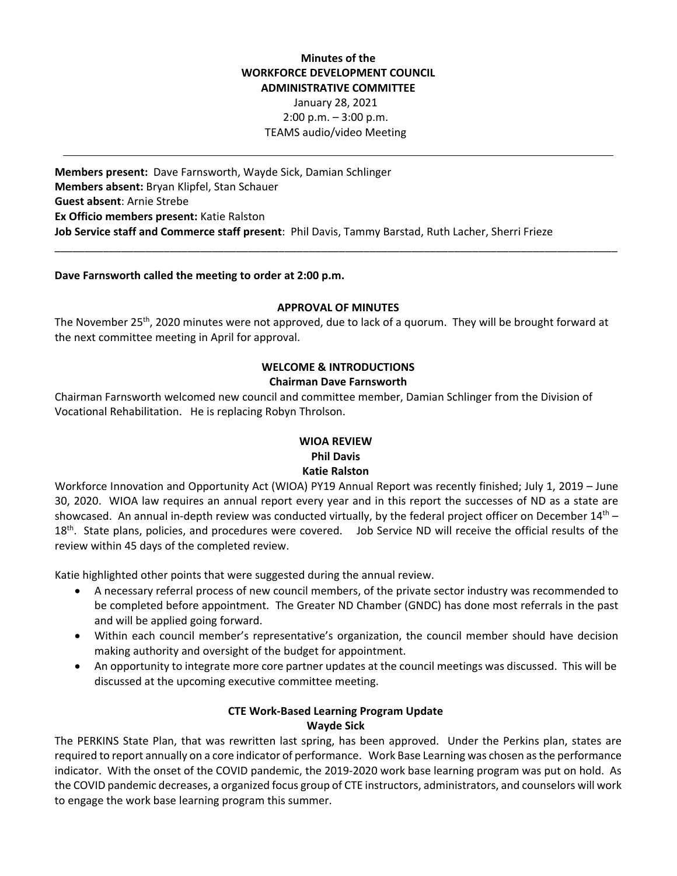# **Minutes of the WORKFORCE DEVELOPMENT COUNCIL ADMINISTRATIVE COMMITTEE**  January 28, 2021 2:00 p.m. – 3:00 p.m. TEAMS audio/video Meeting

**Members present:**  Dave Farnsworth, Wayde Sick, Damian Schlinger **Members absent:** Bryan Klipfel, Stan Schauer **Guest absent**: Arnie Strebe **Ex Officio members present:** Katie Ralston **Job Service staff and Commerce staff present**: Phil Davis, Tammy Barstad, Ruth Lacher, Sherri Frieze

## **Dave Farnsworth called the meeting to order at 2:00 p.m.**

#### **APPROVAL OF MINUTES**

\_\_\_\_\_\_\_\_\_\_\_\_\_\_\_\_\_\_\_\_\_\_\_\_\_\_\_\_\_\_\_\_\_\_\_\_\_\_\_\_\_\_\_\_\_\_\_\_\_\_\_\_\_\_\_\_\_\_\_\_\_\_\_\_\_\_\_\_\_\_\_\_\_\_\_\_\_\_\_\_\_\_\_\_\_\_\_\_\_\_\_\_\_

The November 25<sup>th</sup>, 2020 minutes were not approved, due to lack of a quorum. They will be brought forward at the next committee meeting in April for approval.

# **WELCOME & INTRODUCTIONS Chairman Dave Farnsworth**

Chairman Farnsworth welcomed new council and committee member, Damian Schlinger from the Division of Vocational Rehabilitation. He is replacing Robyn Throlson.

# **WIOA REVIEW Phil Davis Katie Ralston**

Workforce Innovation and Opportunity Act (WIOA) PY19 Annual Report was recently finished; July 1, 2019 – June 30, 2020. WIOA law requires an annual report every year and in this report the successes of ND as a state are showcased. An annual in-depth review was conducted virtually, by the federal project officer on December  $14<sup>th</sup>$  – 18<sup>th</sup>. State plans, policies, and procedures were covered. Job Service ND will receive the official results of the review within 45 days of the completed review.

Katie highlighted other points that were suggested during the annual review.

- A necessary referral process of new council members, of the private sector industry was recommended to be completed before appointment. The Greater ND Chamber (GNDC) has done most referrals in the past and will be applied going forward.
- Within each council member's representative's organization, the council member should have decision making authority and oversight of the budget for appointment.
- An opportunity to integrate more core partner updates at the council meetings was discussed. This will be discussed at the upcoming executive committee meeting.

#### **CTE Work‐Based Learning Program Update Wayde Sick**

The PERKINS State Plan, that was rewritten last spring, has been approved. Under the Perkins plan, states are required to report annually on a core indicator of performance. Work Base Learning was chosen as the performance indicator. With the onset of the COVID pandemic, the 2019‐2020 work base learning program was put on hold. As the COVID pandemic decreases, a organized focus group of CTE instructors, administrators, and counselors will work to engage the work base learning program this summer.